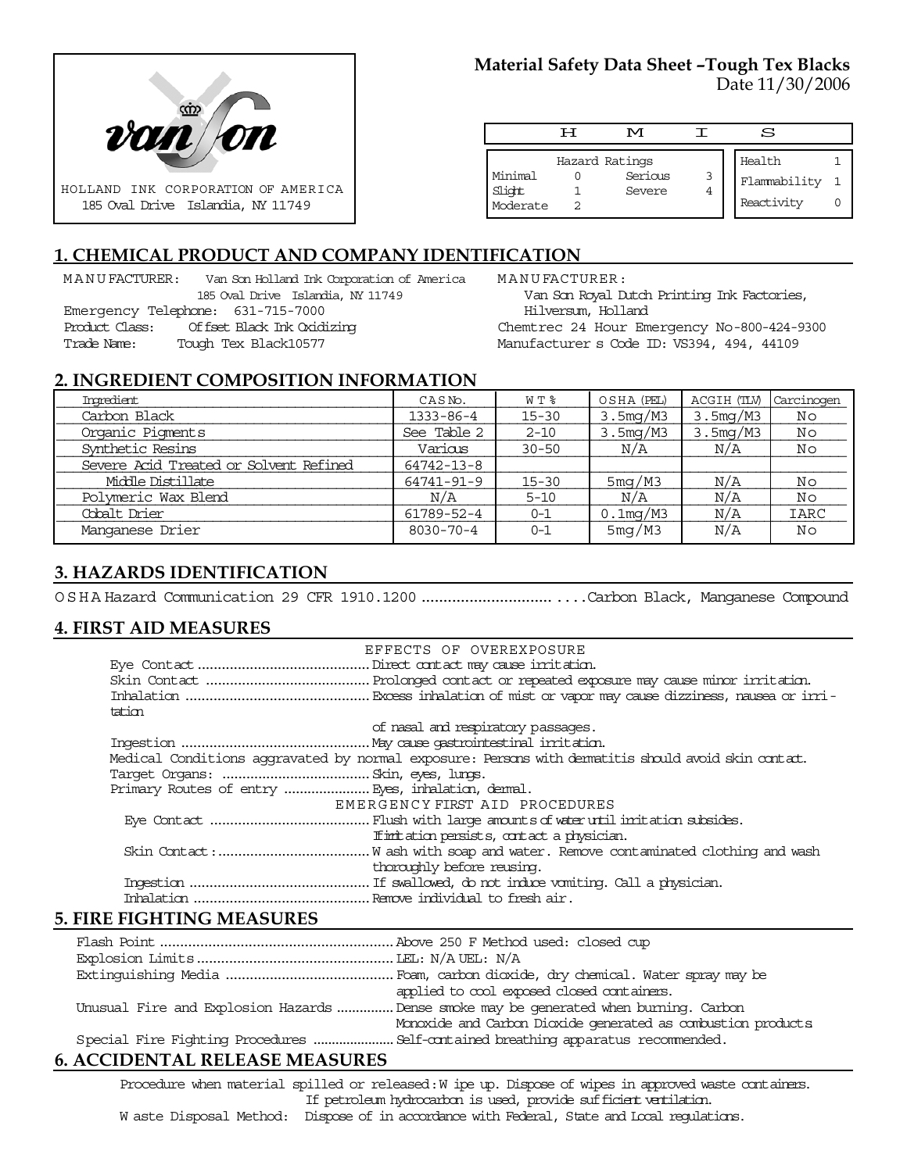

## **Material Safety Data Sheet –Tough Tex Blacks** Date 11/30/2006

|                               | ਸ | M                                   |        | s                                    |  |
|-------------------------------|---|-------------------------------------|--------|--------------------------------------|--|
| Minimal<br>Slight<br>Moderate |   | Hazard Ratings<br>Serious<br>Severe | 3<br>4 | Health<br>Flammability<br>Reactivity |  |

# **1. CHEMICAL PRODUCT AND COMPANY IDENTIFICATION**

MANUFACTURER: Van Son Holland Ink Corporation of America 185 Oval Drive Islandia, NY 11749 Emergency Telephone: 631-715-7000 Product Class: Offset Black Ink Oxidizing Trade Name: Tough Tex Black10577

MANUFACTURER: Van Son Royal Dutch Printing Ink Factories, Hilversum, Holland

Chemtrec 24 Hour Emergency No-800-424-9300 Manufacturer s Code ID: VS394, 494, 44109

#### **2. INGREDIENT COMPOSITION INFORMATION**

| Imredient                              | CASN <sub>o</sub> . | W T %     | OSHA (PEL)  | ACGIH (TLV) | Carcinogen  |
|----------------------------------------|---------------------|-----------|-------------|-------------|-------------|
| Carbon Black                           | $1333 - 86 - 4$     | $15 - 30$ | 3.5mg/M3    | 3.5mg/M3    | Νo          |
| Organic Pigments                       | See Table 2         | $2 - 10$  | 3.5mg/M3    | 3.5mg/M3    | No          |
| Synthetic Resins                       | Various             | $30 - 50$ | N/A         | N/A         | Νo          |
| Severe Acid Treated or Solvent Refined | 64742-13-8          |           |             |             |             |
| Middle Distillate                      | 64741-91-9          | $15 - 30$ | 5mg/M3      | N/A         | No          |
| Polymeric Wax Blend                    | N/A                 | $5 - 10$  | N/A         | N/A         | Νo          |
| Cobalt Drier                           | 61789-52-4          | $0 - 1$   | $0.1$ mg/M3 | N/A         | <b>IARC</b> |
| Manganese Drier                        | $8030 - 70 - 4$     | $0 - 1$   | 5mg/M3      | N/A         | Nο          |

## **3. HAZARDS IDENTIFICATION**

OSHA Hazard Communication 29 CFR 1910.1200..................................Carbon Black, Manganese Compound

## **4. FIRST AID MEASURES**

|        | EFFECTS OF OVEREXPOSURE                                                                            |
|--------|----------------------------------------------------------------------------------------------------|
|        |                                                                                                    |
|        |                                                                                                    |
|        |                                                                                                    |
| tation |                                                                                                    |
|        | of nasal and respiratory passages.                                                                 |
|        |                                                                                                    |
|        | Medical Conditions aggravated by normal exposure: Persons with dematitis should avoid skin contat. |
|        |                                                                                                    |
|        |                                                                                                    |
|        | EMERGENCY FIRST AID PROCEDURES                                                                     |
|        |                                                                                                    |
|        | If initiation persists, contact a physician.                                                       |
|        |                                                                                                    |
|        | thoroughly before reusing.                                                                         |
|        |                                                                                                    |
|        |                                                                                                    |

#### **5. FIRE FIGHTING MEASURES**

| applied to cool exposed closed containers.                                            |
|---------------------------------------------------------------------------------------|
| Unusual Fire and Explosion Hazards  Dense smoke may be generated when burning. Carbon |
| Monoxide and Carbon Dioxide generated as combustion products                          |
|                                                                                       |
|                                                                                       |

# **6. ACCIDENTAL RELEASE MEASURES**

Procedure when material spilled or released: W ipe up. Dispose of wipes in approved waste containers. If petroleum hydrocarbon is used, provide sufficient ventilation. W aste Disposal Method: Dispose of in accordance with Federal, State and Local regulations.